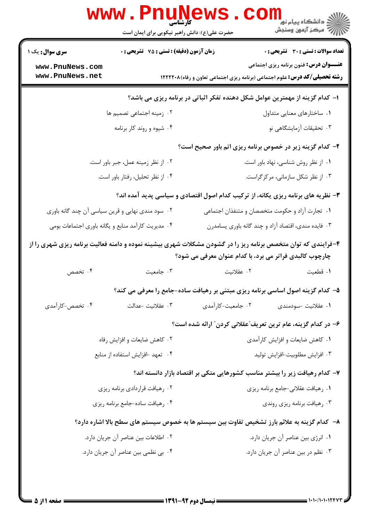|                                                                                                                                                                          | <b>www.rnune</b><br>کارشناسی<br>حضرت علی(ع): دانش راهبر نیکویی برای ایمان است               |                                                                                            | <sup>ال</sup> ڪ دانشگاه پيام نور <sup>دا</sup><br>ا∛ مرکز آزمون وسنڊش |  |  |
|--------------------------------------------------------------------------------------------------------------------------------------------------------------------------|---------------------------------------------------------------------------------------------|--------------------------------------------------------------------------------------------|-----------------------------------------------------------------------|--|--|
| <b>سری سوال :</b> یک ۱                                                                                                                                                   | زمان آزمون (دقیقه) : تستی : 75 گشریحی : 0                                                   |                                                                                            | <b>تعداد سوالات : تستی : 30 ٪ تشریحی : 0</b>                          |  |  |
| www.PnuNews.com<br>www.PnuNews.net                                                                                                                                       |                                                                                             | <b>رشته تحصیلی/کد درس:</b> علوم اجتماعی (برنامه ریزی اجتماعی تعاون و رفاه)۱۲۲۲۲۰۸ <b>۱</b> | <b>عنـــوان درس:</b> فنون برنامه ریزی اجتماعی                         |  |  |
| ا– کدام گزینه از مهمترین عوامل شکل دهنده تفکر اثباتی در برنامه ریزی می باشد؟                                                                                             |                                                                                             |                                                                                            |                                                                       |  |  |
|                                                                                                                                                                          | ۰۲ زمینه اجتماعی تصمیم ها                                                                   |                                                                                            | ۰۱ ساختارهای معنایی متداول                                            |  |  |
|                                                                                                                                                                          | ۰۴ شیوه و روند کار برنامه                                                                   |                                                                                            | ۰۳ تحقیقات آزمایشگاهی نو                                              |  |  |
|                                                                                                                                                                          |                                                                                             | ۲- کدام گزینه زیر در خصوص برنامه ریزی اتم باور صحیح است؟                                   |                                                                       |  |  |
|                                                                                                                                                                          | ۰۲ از نظر زمینه عمل، جبر باور است.                                                          |                                                                                            | ٠١ از نظر روش شناسى، نهاد باور است.                                   |  |  |
|                                                                                                                                                                          | ۰۴ از نظر تحلیل، رفتار باور است.                                                            |                                                                                            | ۰۳ از نظر شکل سازمانی، مرکزگراست.                                     |  |  |
|                                                                                                                                                                          |                                                                                             | ۳- نظریه های برنامه ریزی یکانه، از ترکیب کدام اصول اقتصادی و سیاسی پدید آمده اند؟          |                                                                       |  |  |
| ۰۲ سود مندی نهایی و قرین سیاسی آن چند گانه باوری                                                                                                                         |                                                                                             | ۰۱ تجارت آزاد و حکومت متخصصان و متنفذان اجتماعی                                            |                                                                       |  |  |
|                                                                                                                                                                          | ۰۴ مدیریت کارآمد منابع و یگانه باوری اجتماعات بومی                                          |                                                                                            | ۰۳ فایده مندی، اقتصاد آزاد و چند گانه باوری پسامدرن                   |  |  |
| ۴-فرایندی که توان متخصص برنامه ریز را در گشودن مشکلات شهری بیشینه نموده و دامنه فعالیت برنامه ریزی شهری را از<br>چارچوب کالبدی فراتر می برد، با کدام عنوان معرفی می شود؟ |                                                                                             |                                                                                            |                                                                       |  |  |
| ۰۴ تخصص                                                                                                                                                                  | ۰۳ جامعیت                                                                                   | ۰۲ عقلانیت                                                                                 | ٠١ قطعيت                                                              |  |  |
|                                                                                                                                                                          |                                                                                             | ۵– کدام گزینه اصول اساسی برنامه ریزی مبتنی بر رهیافت ساده-جامع را معرفی می کند؟            |                                                                       |  |  |
| ۰۴ تخصص-کارآمدی                                                                                                                                                          | ۰۳ عقلانيت –عدالت                                                                           | ۰۲ جامعیت-کارآمدی                                                                          | ۰۱ عقلانيت -سودمندى                                                   |  |  |
|                                                                                                                                                                          |                                                                                             | ۶– در کدام گزینه، عام ترین تعریف ّعقلانی کردن ّ ارائه شده است؟                             |                                                                       |  |  |
|                                                                                                                                                                          | ۰۲ کاهش ضایعات و افزایش رفاه                                                                |                                                                                            | ٠١ كاهش ضايعات و افزايش كارآمدي                                       |  |  |
|                                                                                                                                                                          | ۰۴ تعهد -افزایش استفاده از منابع                                                            |                                                                                            | ٠٣ افزايش مطلوبيت-افزايش توليد                                        |  |  |
|                                                                                                                                                                          |                                                                                             | ۷– کدام رهیافت زیر را بیشتر مناسب کشورهایی متکی بر اقتصاد بازار دانسته اند؟                |                                                                       |  |  |
|                                                                                                                                                                          | ۰۲ رهیافت قراردادی برنامه ریزی                                                              |                                                                                            | ۰۱ رهیافت عقلانی-جامع برنامه ریزی                                     |  |  |
|                                                                                                                                                                          | ۰۴ رهیافت ساده-جامع برنامه ریزی                                                             | ۰۳ رهیافت برنامه ریزی روندی                                                                |                                                                       |  |  |
|                                                                                                                                                                          | ۸– کدام گزینه به علائم بارز تشخیص تفاوت بین سیستم ها به خصوص سیستم های سطح بالا اشاره دارد؟ |                                                                                            |                                                                       |  |  |
|                                                                                                                                                                          | ٠٢ اطلاعات بين عناصر آن جريان دارد.                                                         |                                                                                            | ٠١ انرژى بين عناصر أن جريان دارد.                                     |  |  |
|                                                                                                                                                                          | ۰۴ بی نظمی بین عناصر آن جریان دارد.                                                         |                                                                                            | ۰۳ نظم در بين عناصر أن جريان دارد.                                    |  |  |
|                                                                                                                                                                          |                                                                                             |                                                                                            |                                                                       |  |  |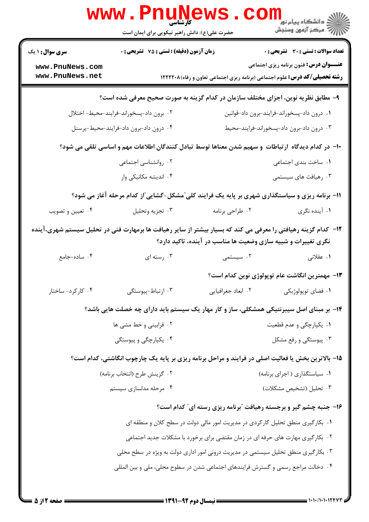|                                                                                                   | <b>WWW.PNUNGWS</b><br>حضرت علی(ع): دانش راهبر نیکویی برای ایمان است                                           |                    | دانشگاه پیام نور<br>ا∰ مرکز آزمهن وسنجش                                                                                            |  |  |
|---------------------------------------------------------------------------------------------------|---------------------------------------------------------------------------------------------------------------|--------------------|------------------------------------------------------------------------------------------------------------------------------------|--|--|
| <b>سری سوال : ۱ یک</b>                                                                            | زمان آزمون (دقیقه) : تستی : 75 ٪ تشریحی : 0                                                                   |                    | <b>تعداد سوالات : تستی : 30 - تشریحی : 0</b>                                                                                       |  |  |
| www.PnuNews.com<br>www.PnuNews.net                                                                |                                                                                                               |                    | <b>عنـــوان درس:</b> فنون برنامه ریزی اجتماعی<br><b>رشته تحصیلی/کد درس:</b> علوم اجتماعی (برنامه ریزی اجتماعی تعاون و رفاه)۱۲۲۲۲۰۸ |  |  |
| ۹- مطابق نظریه نوین، اجزای مختلف سازمان در کدام گزینه به صورت صحیح معرفی شده است؟                 |                                                                                                               |                    |                                                                                                                                    |  |  |
|                                                                                                   | ٠٢ برون داد-پسخوراند-فرايند-محيط- اختلال                                                                      |                    | ٠١ درون داد-پسخوراند-فرايند-برون داد-قوانين                                                                                        |  |  |
|                                                                                                   | ۰۴ درون داد-برون داد-فرايند-محيط-پرسنل                                                                        |                    | ٠٣ درون داد-برون داد-پسخوراند-فرايند-محيط                                                                                          |  |  |
| ∙۱− در کدام دیدگاه ارتباطات و سهیم شدن معناها توسط تبادل کنندگان اطلاعات مهم و اساسی تلقی می شود؟ |                                                                                                               |                    |                                                                                                                                    |  |  |
|                                                                                                   | ۰۲ روانشناسی اجتماعی                                                                                          |                    | ۰۱ ساخت بندی اجتما <i>ع</i> ی                                                                                                      |  |  |
|                                                                                                   | ۰۴ اندیشه مکانیکی وار                                                                                         |                    | ۰۳ رهیافت های سیستمی                                                                                                               |  |  |
|                                                                                                   | 11- برنامه ریزی و سیاستگذاری شهری بر پایه یک فرایند کلی ّمشکل-گشایی ّاز کدام مرحله آغاز می شود؟               |                    |                                                                                                                                    |  |  |
| ۰۴ تعیین و تصویب                                                                                  | ۰۳ تجزيه وتحليل                                                                                               | ۰۲ طراحي برنامه    | ۰۱ آینده نگری                                                                                                                      |  |  |
|                                                                                                   | ۱۲– کدام گزینه رهیافتی را معرفی می کند که بسیار بیشتر از سایر رهیافت ها برمهارت فنی در تحلیل سیستم شهری،آینده |                    | نگری تغییرات و شبیه سازی وضعیت ها مناسب در آینده، تاکید دارد؟                                                                      |  |  |
| ۰۴ ساده-جامع                                                                                      | ۰۳ رسته ای                                                                                                    | ۰۲ سیستمی          | ۰۱ عقلانی                                                                                                                          |  |  |
|                                                                                                   |                                                                                                               |                    | 1۳– مهمترین انگاشت عام توپولوژی نوین کدام است؟                                                                                     |  |  |
| ۰۴ کارکرد- ساختار                                                                                 | ۰۳ ارتباط-پیوستگی                                                                                             | ٠٢ ابعاد جغرافيايي | ۰۱ فضای توپولوژیکی                                                                                                                 |  |  |
|                                                                                                   | ۱۴- بر مبنای اصل سیبرنتیکی همشکلی، ساز و کار مهار یک سیستم باید دارای چه خصلت هایی باشد؟                      |                    |                                                                                                                                    |  |  |
|                                                                                                   | ۰۲ فرابینی و خط مشی ها                                                                                        |                    | ۰۱ يکپارچگي و عدم قطعيت                                                                                                            |  |  |
|                                                                                                   | ۰۴ یکپارچگی و پیوستگی                                                                                         |                    | ۰۳ پیوستگی و رفع مشکل                                                                                                              |  |  |
|                                                                                                   | ۱۵- بالاترین بخش یا فعالیت اصلی در فرایند و مراحل برنامه ریزی بر پایه یک چارچوب انگاشتی، کدام است؟            |                    |                                                                                                                                    |  |  |
|                                                                                                   | ٠٢ گزينش طرح (انتخاب برنامه)                                                                                  |                    | ۰۱ سیاستگذاری ( اجرای برنامه)                                                                                                      |  |  |
|                                                                                                   | ۰۴ مرحله مدلسازی سیستم                                                                                        |                    | ۰۳ تحلیل (تشخیص مشکلات)                                                                                                            |  |  |
|                                                                                                   |                                                                                                               |                    | ۱۶- جنبه چشم گیر و برجسته رهیافت 'برنامه ریزی رسته ای″ کدام است؟                                                                   |  |  |
| ۰۱ بکارگیری منطق تحلیل کارکردی در مدیریت امور مالی دولت در سطح کلان و منطقه ای                    |                                                                                                               |                    |                                                                                                                                    |  |  |
| ۰۲ . بکارگیری مهارت های حرفه ای در زمان مقتضی برای برخورد با مشکلات جدید اجتماعی                  |                                                                                                               |                    |                                                                                                                                    |  |  |
| ۰۳ بکارگیری منطق تحلیل سیستمی در مدیریت درونی امور اداری دولت به ویژه در سطح محلی                 |                                                                                                               |                    |                                                                                                                                    |  |  |
|                                                                                                   | ۰۴ دخالت مراجع رسمی و گسترش فرایندهای اجتماعی شدن در سطوح محلی، ملی و بین المللی                              |                    |                                                                                                                                    |  |  |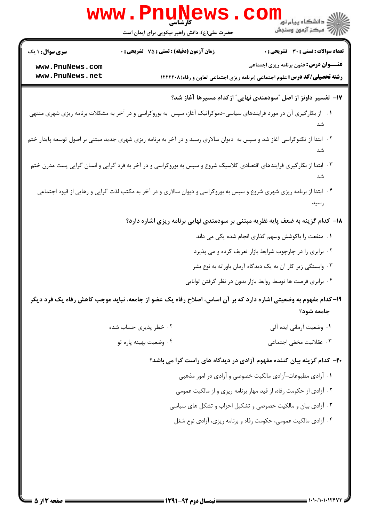|                        | www.PnuNews                                                                                                               | الاد دانشگاه پيام نور <mark>- -</mark><br>  //> مرکز آزمون وسنجش                        |
|------------------------|---------------------------------------------------------------------------------------------------------------------------|-----------------------------------------------------------------------------------------|
|                        | حضرت علی(ع): دانش راهبر نیکویی برای ایمان است                                                                             |                                                                                         |
| <b>سری سوال :</b> ۱ یک | <b>زمان آزمون (دقیقه) : تستی : 75 تشریحی : 0</b>                                                                          | <b>تعداد سوالات : تستی : 30 ٪ تشریحی : 0</b>                                            |
| www.PnuNews.com        |                                                                                                                           | <b>عنـــوان درس:</b> فنون برنامه ریزی اجتماعی                                           |
| www.PnuNews.net        |                                                                                                                           | <b>رشته تحصیلی/کد درس:</b> علوم اجتماعی (برنامه ریزی اجتماعی تعاون و رفاه)۱۲۲۲۲۰۸       |
|                        |                                                                                                                           | ۱۷– تفسیر داونز از اصل "سودمندی نهایی" ازکدام مسیرها آغاز شد؟                           |
|                        | ۰۱ از بکارگیری آن در مورد فرایندهای سیاسی-دموکراتیک آغاز، سپس به بوروکراسی و در آخر به مشکلات برنامه ریزی شهری منتهی      |                                                                                         |
|                        | ۰۲ ابتدا از تکنوکراسی آغاز شد و سپس به دیوان سالاری رسید و در آخر به برنامه ریزی شهری جدید مبتنی بر اصول توسعه پایدار ختم |                                                                                         |
|                        |                                                                                                                           | شد                                                                                      |
|                        | ۰۳ ابتدا از بکارگیری فرایندهای اقتصادی کلاسیک شروع و سپس به بوروکراسی و در آخر به فرد گرایی و انسان گرایی پست مدرن ختم    | شد                                                                                      |
|                        | ۰۴ ابتدا از برنامه ریزی شهری شروع و سپس به بوروکراسی و دیوان سالاری و در آخر به مکتب لذت گرایی و رهایی از قیود اجتماعی    | رسيد                                                                                    |
|                        |                                                                                                                           | <b>۱۸</b> - کدام گزینه به ضعف پایه نظریه مبتنی بر سودمندی نهایی برنامه ریزی اشاره دارد؟ |
|                        |                                                                                                                           | ۰۱ منفعت را باکوشش وسهم گذاری انجام شده یکی می داند                                     |
|                        |                                                                                                                           | ۰۲ برابری را در چارچوب شرایط بازار تعریف کرده و می پذیرد                                |
|                        |                                                                                                                           | ۰۳ وابستگی زیر کار آن به یک دیدگاه آرمان باورانه به نوع بشر                             |
|                        |                                                                                                                           | ۰۴ برابری فرصت ها توسط روابط بازار بدون در نظر گرفتن توانایی                            |
|                        | ۱۹–کدام مفهوم به وضعیتی اشاره دارد که بر آن اساس، اصلاح رفاه یک عضو از جامعه، نباید موجب کاهش رفاه یک فرد دیگر            |                                                                                         |
|                        |                                                                                                                           | جامعه شود؟                                                                              |
|                        | ۰۲ خطر پذیری حساب شده                                                                                                     | ٠١. وضعيت آرماني ايده آلي                                                               |
|                        | ۰۴ وضعیت بهینه یاره تو                                                                                                    | ۰۳ عقلانیت مخفی اجتما <i>ع</i> ی                                                        |
|                        |                                                                                                                           | ۲۰- کدام گزینه بیان کننده مفهوم آزادی در دیدگاه های راست گرا می باشد؟                   |
|                        |                                                                                                                           | ۰۱ آزادی مطبوعات-آزادی مالکیت خصوصی و آزادی در امور مذهبی                               |
|                        |                                                                                                                           | ۲ . آزادی از حکومت رفاه، از قید مهار برنامه ریزی و از مالکیت عمومی                      |
|                        |                                                                                                                           | ۰۳ آزادی بیان و مالکیت خصوصی و تشکیل احزاب و تشکل های سیاسی                             |
|                        |                                                                                                                           | ۰۴ آزادی مالکیت عمومی، حکومت رفاه و برنامه ریزی، آزادی نوع شغل                          |
|                        |                                                                                                                           |                                                                                         |
|                        |                                                                                                                           |                                                                                         |
|                        |                                                                                                                           |                                                                                         |
|                        |                                                                                                                           |                                                                                         |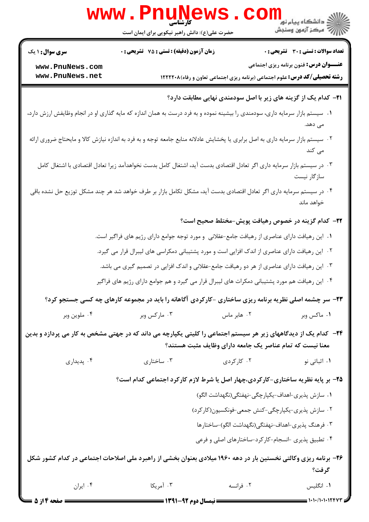| www.PnuNews<br>ر دانشگاه پيام نور <mark></mark><br>اگر مرکز آزمون وسنجش                                                                                                            |                                                                                                                                 |                                                                                    |                                               |  |  |
|------------------------------------------------------------------------------------------------------------------------------------------------------------------------------------|---------------------------------------------------------------------------------------------------------------------------------|------------------------------------------------------------------------------------|-----------------------------------------------|--|--|
|                                                                                                                                                                                    | حضرت علی(ع): دانش راهبر نیکویی برای ایمان است                                                                                   |                                                                                    |                                               |  |  |
| <b>سری سوال : ۱ یک</b>                                                                                                                                                             | <b>زمان آزمون (دقیقه) : تستی : 75 تشریحی : 0</b>                                                                                |                                                                                    | <b>تعداد سوالات : تستی : 30 ٪ تشریحی : 0</b>  |  |  |
| www.PnuNews.com<br>www.PnuNews.net                                                                                                                                                 |                                                                                                                                 | <b>رشته تحصیلی/کد درس:</b> علوم اجتماعی (برنامه ریزی اجتماعی تعاون و رفاه) ۱۲۲۲۲۰۸ | <b>عنـــوان درس:</b> فنون برنامه ریزی اجتماعی |  |  |
|                                                                                                                                                                                    |                                                                                                                                 | <b>۲۱</b> – کدام یک از گزینه های زیر با اصل سودمندی نهایی مطابقت دارد؟             |                                               |  |  |
|                                                                                                                                                                                    | ۰۱ سیستم بازار سرمایه داری، سودمندی را بیشینه نموده و به فرد درست به همان اندازه که مایه گذاری او در انجام وظایفش ارزش دارد،    |                                                                                    | مى دهد.                                       |  |  |
|                                                                                                                                                                                    | ۰۲ سیستم بازار سرمایه داری به اصل برابری یا پخشایش عادلانه منابع جامعه توجه و به فرد به اندازه نیازش کالا و مایحتاج ضروری ارائه |                                                                                    | می کند                                        |  |  |
|                                                                                                                                                                                    | ۰۳ در سیستم بازار سرمایه داری اگر تعادل اقتصادی بدست آید، اشتغال کامل بدست نخواهدآمد زیرا تعادل اقتصادی با اشتغال کامل          |                                                                                    | سازگار نیست                                   |  |  |
|                                                                                                                                                                                    | ۰۴ در سیستم سرمایه داری اگر تعادل اقتصادی بدست آید، مشکل تکامل بازار بر طرف خواهد شد هر چند مشکل توزیع حل نشده باقی             |                                                                                    | خواهد ماند                                    |  |  |
|                                                                                                                                                                                    |                                                                                                                                 | <b>۲۲</b> – کدام گزینه در خصوص رهیافت پویش-مختلط صحیح است؟                         |                                               |  |  |
|                                                                                                                                                                                    | ۰۱ این رهیافت دارای عناصری از رهیافت جامع-عقلانی  و مورد توجه جوامع دارای رژیم های فراگیر است.                                  |                                                                                    |                                               |  |  |
|                                                                                                                                                                                    | ۰۲ این رهیافت دارای عناصری از اندک افزایی است و مورد پشتیبانی دمکراسی های لیبرال قرار می گیرد.                                  |                                                                                    |                                               |  |  |
|                                                                                                                                                                                    | ۰۳ این رهیافت دارای عناصری از هر دو رهیافت جامع-عقلانی و اندک افزایی در تصمیم گیری می باشد.                                     |                                                                                    |                                               |  |  |
|                                                                                                                                                                                    | ۰۴ این رهیافت هم مورد پشتیبانی دمکرات های لیبرال قرار می گیرد و هم جوامع دارای رژیم های فراگیر                                  |                                                                                    |                                               |  |  |
|                                                                                                                                                                                    | ۲۳- سر چشمه اصلی نظریه برنامه ریزی ساختاری -کارکردی آگاهانه را باید در مجموعه کارهای چه کسی جستجو کرد؟                          |                                                                                    |                                               |  |  |
| ۰۴ ملوين وبر                                                                                                                                                                       | ۰۳ مارکس وبر                                                                                                                    | ۰۲ هابر ماس                                                                        | ۰۱ ماکس وبر                                   |  |  |
| <b>۳۴</b> − کدام یک از دیدگاههای زیر هر سیستم اجتماعی را کلیتی یکپارچه می داند که در جهتی مشخص به کار می پردازد و بدین<br>معنا نیست که تمام عناصر یک جامعه دارای وظایف مثبت هستند؟ |                                                                                                                                 |                                                                                    |                                               |  |  |
| ۰۴ پدیداری                                                                                                                                                                         | ۰۳ ساختاری                                                                                                                      | ۰۲ کارگردی                                                                         | ۰۱ اثباتی نو                                  |  |  |
|                                                                                                                                                                                    | ۲۵- بر پایه نظریه ساختاری-کارکردی،چهار اصل یا شرط لازم کارکرد اجتماعی کدام است؟                                                 |                                                                                    |                                               |  |  |
|                                                                                                                                                                                    | ۰۱ سازش پذیری-اهداف-یکپارچگی-نهفتگی(نگهداشت الگو)                                                                               |                                                                                    |                                               |  |  |
|                                                                                                                                                                                    |                                                                                                                                 | ۰۲ سازش پذیری-یکپارچگی-کنش جمعی-فونکسیون(کارکرد)                                   |                                               |  |  |
| ۰۳ فرهنگ پذیری-اهداف-نهفتگی(نگهداشت الگو)-ساختارها                                                                                                                                 |                                                                                                                                 |                                                                                    |                                               |  |  |
| ۰۴ تطبیق پذیری -انسجام-کارکرد-ساختارهای اصلی و فرعی                                                                                                                                |                                                                                                                                 |                                                                                    |                                               |  |  |
|                                                                                                                                                                                    | ۲۶- برنامه ریزی وکالتی نخستین بار در دهه ۱۹۶۰ میلادی بعنوان بخشی از راهبرد ملی اصلاحات اجتماعی در کدام کشور شکل                 |                                                                                    | گرفت؟                                         |  |  |
| ۰۴ ایران                                                                                                                                                                           | ۰۳ آمریکا                                                                                                                       | ۰۲ فرانسه                                                                          | ۰۱ انگلیس                                     |  |  |
| ــــ صفحه ۱۴ز ۵                                                                                                                                                                    | ـــــــــــــــــــ نیمسال دوم ۹۲-۱۳۹۱ ــــــــ                                                                                 |                                                                                    | = 1+1+/1+1+124                                |  |  |